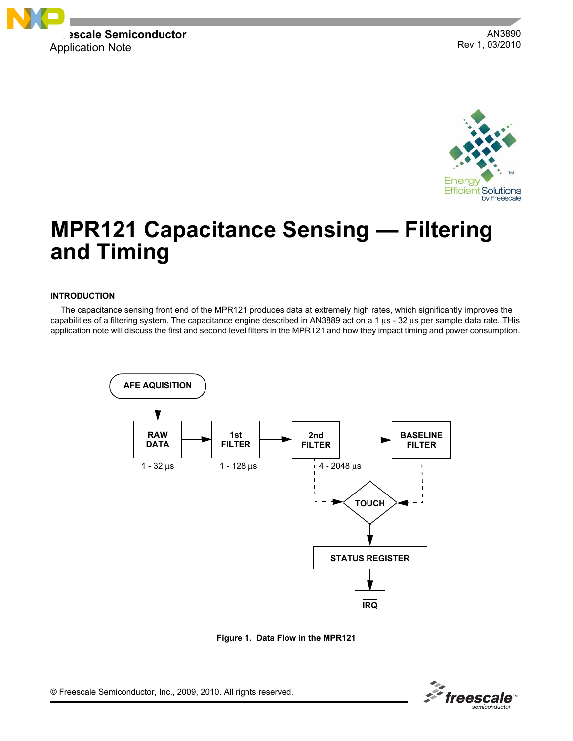

AN3890 Rev 1, 03/2010



# **MPR121 Capacitance Sensing — Filtering and Timing**

### **INTRODUCTION**

The capacitance sensing front end of the MPR121 produces data at extremely high rates, which significantly improves the capabilities of a filtering system. The capacitance engine described in AN3889 act on a 1 μs - 32 μs per sample data rate. THis application note will discuss the first and second level filters in the MPR121 and how they impact timing and power consumption.



**Figure 1. Data Flow in the MPR121**

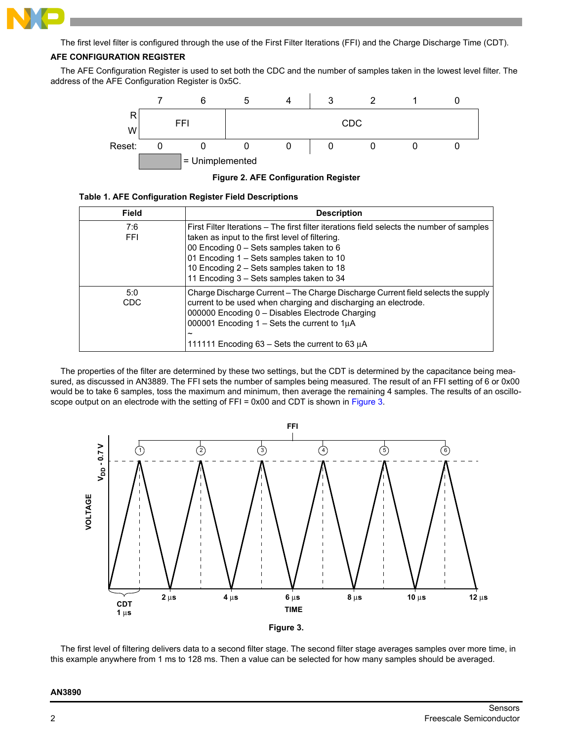

The first level filter is configured through the use of the First Filter Iterations (FFI) and the Charge Discharge Time (CDT).

# **AFE CONFIGURATION REGISTER**

The AFE Configuration Register is used to set both the CDC and the number of samples taken in the lowest level filter. The address of the AFE Configuration Register is 0x5C.



**Figure 2. AFE Configuration Register**

| <b>Field</b> | <b>Description</b>                                                                                                                                                                                                                                                                                                              |
|--------------|---------------------------------------------------------------------------------------------------------------------------------------------------------------------------------------------------------------------------------------------------------------------------------------------------------------------------------|
| 7:6<br>FFI.  | First Filter Iterations – The first filter iterations field selects the number of samples<br>taken as input to the first level of filtering.<br>00 Encoding 0 - Sets samples taken to 6<br>01 Encoding 1 – Sets samples taken to 10<br>10 Encoding 2 - Sets samples taken to 18<br>11 Encoding 3 – Sets samples taken to 34     |
| 5:0<br>CDC.  | Charge Discharge Current – The Charge Discharge Current field selects the supply<br>current to be used when charging and discharging an electrode.<br>000000 Encoding 0 - Disables Electrode Charging<br>000001 Encoding $1 - \text{Sets}$ the current to $1\mu\text{A}$<br>111111 Encoding 63 – Sets the current to 63 $\mu$ A |

The properties of the filter are determined by these two settings, but the CDT is determined by the capacitance being measured, as discussed in AN3889. The FFI sets the number of samples being measured. The result of an FFI setting of 6 or 0x00 would be to take 6 samples, toss the maximum and minimum, then average the remaining 4 samples. The results of an oscilloscope output on an electrode with the setting of FFI = 0x00 and CDT is shown in [Figure](#page-1-0) 3.



**Figure 3.** 

<span id="page-1-0"></span>The first level of filtering delivers data to a second filter stage. The second filter stage averages samples over more time, in this example anywhere from 1 ms to 128 ms. Then a value can be selected for how many samples should be averaged.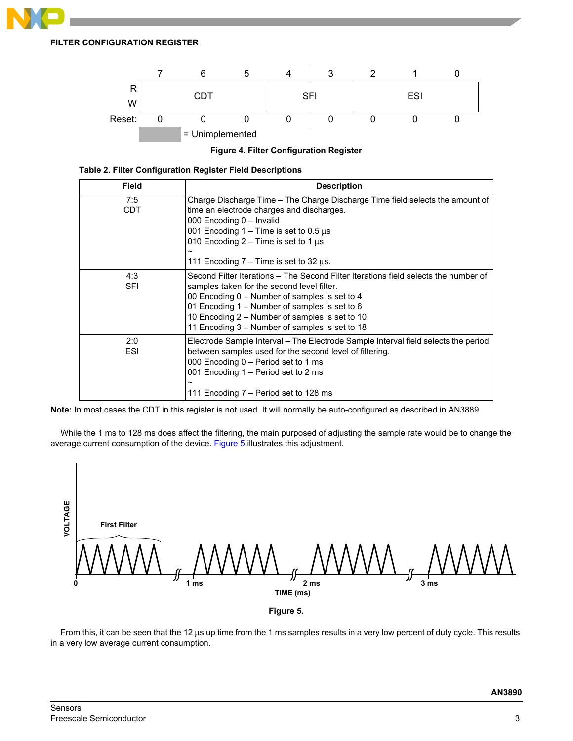# **FILTER CONFIGURATION REGISTER**



**Figure 4. Filter Configuration Register**

| Table 2. Filter Configuration Register Field Descriptions |  |
|-----------------------------------------------------------|--|
|-----------------------------------------------------------|--|

| <b>Field</b>      | <b>Description</b>                                                                                                                                                                                                                                                                                                                      |
|-------------------|-----------------------------------------------------------------------------------------------------------------------------------------------------------------------------------------------------------------------------------------------------------------------------------------------------------------------------------------|
| 7:5<br><b>CDT</b> | Charge Discharge Time – The Charge Discharge Time field selects the amount of<br>time an electrode charges and discharges.<br>000 Encoding 0 - Invalid<br>001 Encoding $1 -$ Time is set to 0.5 $\mu$ s<br>010 Encoding $2 -$ Time is set to 1 $\mu$ s<br>$\tilde{}$                                                                    |
|                   | 111 Encoding $7 -$ Time is set to 32 $\mu$ s.                                                                                                                                                                                                                                                                                           |
| 4:3<br><b>SFI</b> | Second Filter Iterations – The Second Filter Iterations field selects the number of<br>samples taken for the second level filter.<br>00 Encoding 0 – Number of samples is set to 4<br>01 Encoding 1 – Number of samples is set to 6<br>10 Encoding 2 – Number of samples is set to 10<br>11 Encoding 3 – Number of samples is set to 18 |
| 2:0<br>ESI        | Electrode Sample Interval – The Electrode Sample Interval field selects the period<br>between samples used for the second level of filtering.<br>000 Encoding 0 – Period set to 1 ms<br>001 Encoding 1 – Period set to 2 ms<br>111 Encoding 7 – Period set to 128 ms                                                                    |

**Note:** In most cases the CDT in this register is not used. It will normally be auto-configured as described in AN3889

While the 1 ms to 128 ms does affect the filtering, the main purposed of adjusting the sample rate would be to change the average current consumption of the device. [Figure](#page-2-0) 5 illustrates this adjustment.





<span id="page-2-0"></span>From this, it can be seen that the 12 μs up time from the 1 ms samples results in a very low percent of duty cycle. This results in a very low average current consumption.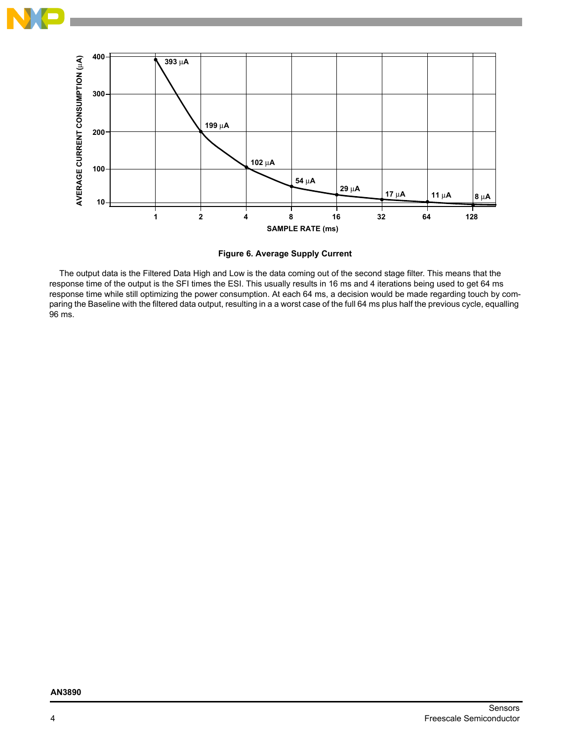



**Figure 6. Average Supply Current**

The output data is the Filtered Data High and Low is the data coming out of the second stage filter. This means that the response time of the output is the SFI times the ESI. This usually results in 16 ms and 4 iterations being used to get 64 ms response time while still optimizing the power consumption. At each 64 ms, a decision would be made regarding touch by comparing the Baseline with the filtered data output, resulting in a a worst case of the full 64 ms plus half the previous cycle, equalling 96 ms.